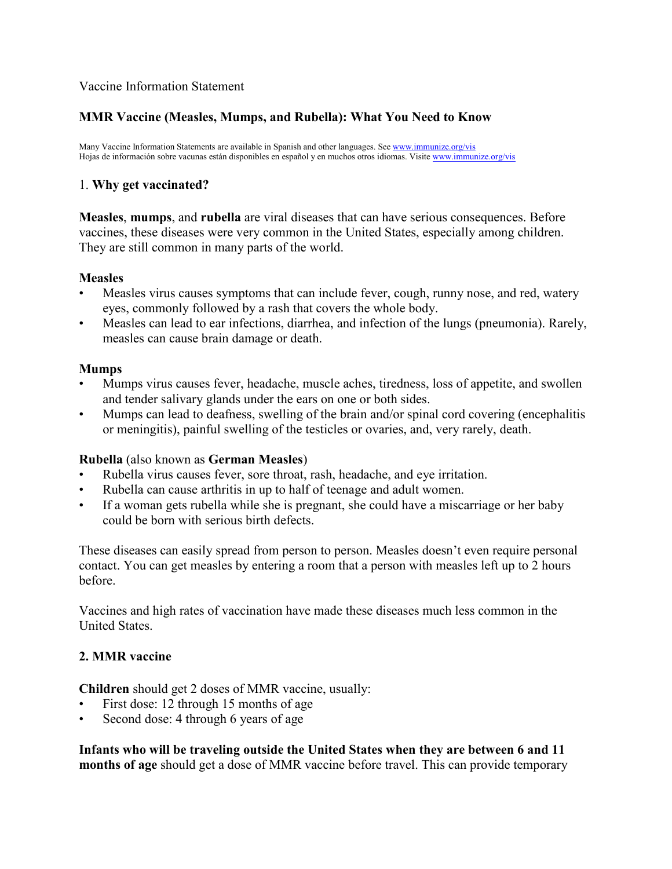#### Vaccine Information Statement

### **MMR Vaccine (Measles, Mumps, and Rubella): What You Need to Know**

Many Vaccine Information Statements are available in Spanish and other languages. Se[e www.immunize.org/vis](http://www.immunize.org/vis) Hojas de información sobre vacunas están disponibles en español y en muchos otros idiomas. Visit[e www.immunize.org/vis](http://www.immunize.org/vis)

### 1. **Why get vaccinated?**

**Measles**, **mumps**, and **rubella** are viral diseases that can have serious consequences. Before vaccines, these diseases were very common in the United States, especially among children. They are still common in many parts of the world.

#### **Measles**

- Measles virus causes symptoms that can include fever, cough, runny nose, and red, watery eyes, commonly followed by a rash that covers the whole body.
- Measles can lead to ear infections, diarrhea, and infection of the lungs (pneumonia). Rarely, measles can cause brain damage or death.

#### **Mumps**

- Mumps virus causes fever, headache, muscle aches, tiredness, loss of appetite, and swollen and tender salivary glands under the ears on one or both sides.
- Mumps can lead to deafness, swelling of the brain and/or spinal cord covering (encephalitis or meningitis), painful swelling of the testicles or ovaries, and, very rarely, death.

### **Rubella** (also known as **German Measles**)

- Rubella virus causes fever, sore throat, rash, headache, and eye irritation.
- Rubella can cause arthritis in up to half of teenage and adult women.
- If a woman gets rubella while she is pregnant, she could have a miscarriage or her baby could be born with serious birth defects.

These diseases can easily spread from person to person. Measles doesn't even require personal contact. You can get measles by entering a room that a person with measles left up to 2 hours before.

Vaccines and high rates of vaccination have made these diseases much less common in the United States.

### **2. MMR vaccine**

**Children** should get 2 doses of MMR vaccine, usually:

- First dose: 12 through 15 months of age
- Second dose: 4 through 6 years of age

**Infants who will be traveling outside the United States when they are between 6 and 11 months of age** should get a dose of MMR vaccine before travel. This can provide temporary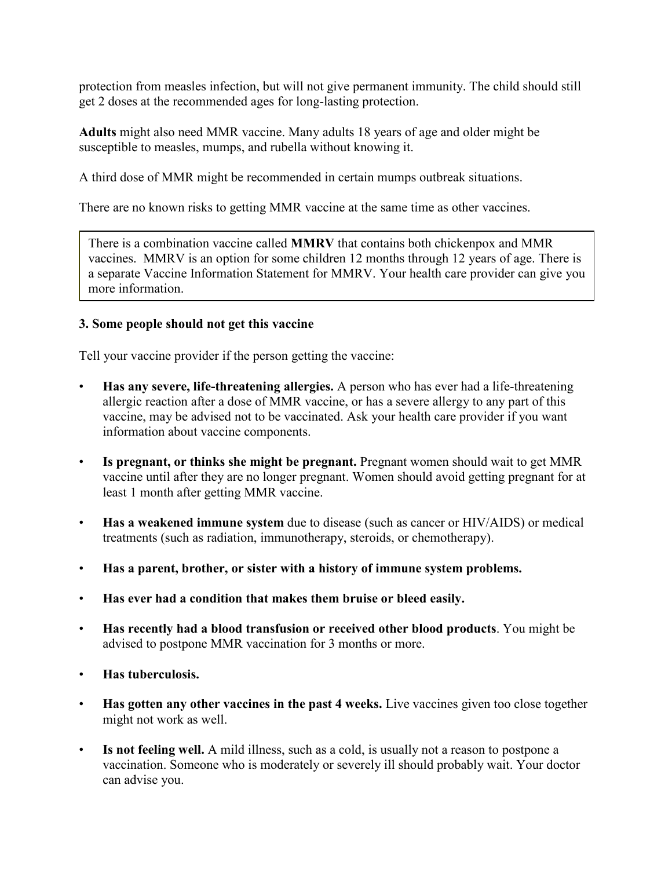protection from measles infection, but will not give permanent immunity. The child should still get 2 doses at the recommended ages for long-lasting protection.

**Adults** might also need MMR vaccine. Many adults 18 years of age and older might be susceptible to measles, mumps, and rubella without knowing it.

A third dose of MMR might be recommended in certain mumps outbreak situations.

There are no known risks to getting MMR vaccine at the same time as other vaccines.

There is a combination vaccine called **MMRV** that contains both chickenpox and MMR vaccines. MMRV is an option for some children 12 months through 12 years of age. There is a separate Vaccine Information Statement for MMRV. Your health care provider can give you more information.

## **3. Some people should not get this vaccine**

Tell your vaccine provider if the person getting the vaccine:

- **Has any severe, life-threatening allergies.** A person who has ever had a life-threatening allergic reaction after a dose of MMR vaccine, or has a severe allergy to any part of this vaccine, may be advised not to be vaccinated. Ask your health care provider if you want information about vaccine components.
- **Is pregnant, or thinks she might be pregnant.** Pregnant women should wait to get MMR vaccine until after they are no longer pregnant. Women should avoid getting pregnant for at least 1 month after getting MMR vaccine.
- **Has a weakened immune system** due to disease (such as cancer or HIV/AIDS) or medical treatments (such as radiation, immunotherapy, steroids, or chemotherapy).
- **Has a parent, brother, or sister with a history of immune system problems.**
- **Has ever had a condition that makes them bruise or bleed easily.**
- **Has recently had a blood transfusion or received other blood products**. You might be advised to postpone MMR vaccination for 3 months or more.
- **Has tuberculosis.**
- **Has gotten any other vaccines in the past 4 weeks.** Live vaccines given too close together might not work as well.
- **Is not feeling well.** A mild illness, such as a cold, is usually not a reason to postpone a vaccination. Someone who is moderately or severely ill should probably wait. Your doctor can advise you.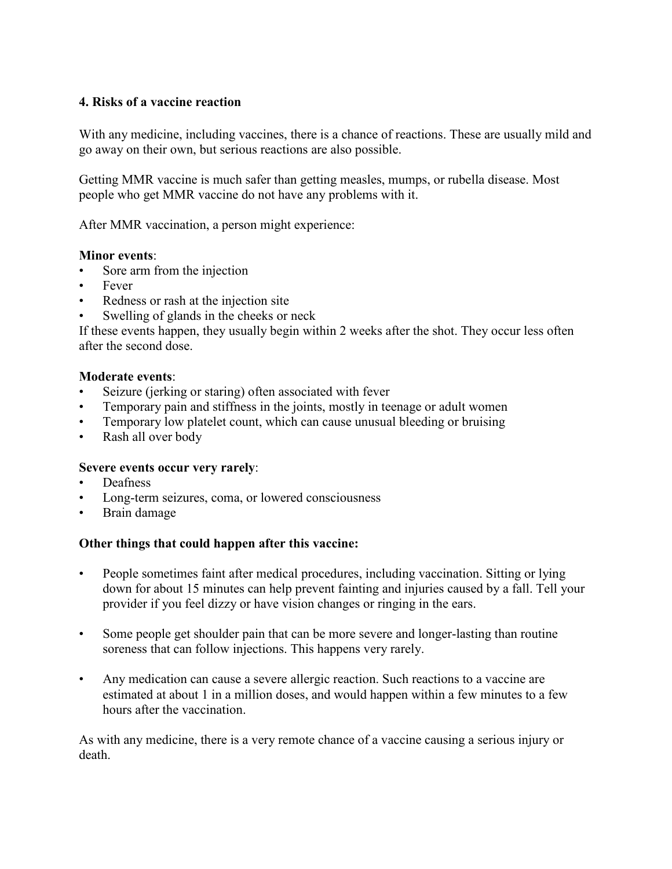## **4. Risks of a vaccine reaction**

With any medicine, including vaccines, there is a chance of reactions. These are usually mild and go away on their own, but serious reactions are also possible.

Getting MMR vaccine is much safer than getting measles, mumps, or rubella disease. Most people who get MMR vaccine do not have any problems with it.

After MMR vaccination, a person might experience:

#### **Minor events**:

- Sore arm from the injection
- Fever
- Redness or rash at the injection site
- Swelling of glands in the cheeks or neck

If these events happen, they usually begin within 2 weeks after the shot. They occur less often after the second dose.

#### **Moderate events**:

- Seizure (jerking or staring) often associated with fever
- Temporary pain and stiffness in the joints, mostly in teenage or adult women
- Temporary low platelet count, which can cause unusual bleeding or bruising
- Rash all over body

#### **Severe events occur very rarely**:

- Deafness
- Long-term seizures, coma, or lowered consciousness
- Brain damage

### **Other things that could happen after this vaccine:**

- People sometimes faint after medical procedures, including vaccination. Sitting or lying down for about 15 minutes can help prevent fainting and injuries caused by a fall. Tell your provider if you feel dizzy or have vision changes or ringing in the ears.
- Some people get shoulder pain that can be more severe and longer-lasting than routine soreness that can follow injections. This happens very rarely.
- Any medication can cause a severe allergic reaction. Such reactions to a vaccine are estimated at about 1 in a million doses, and would happen within a few minutes to a few hours after the vaccination.

As with any medicine, there is a very remote chance of a vaccine causing a serious injury or death.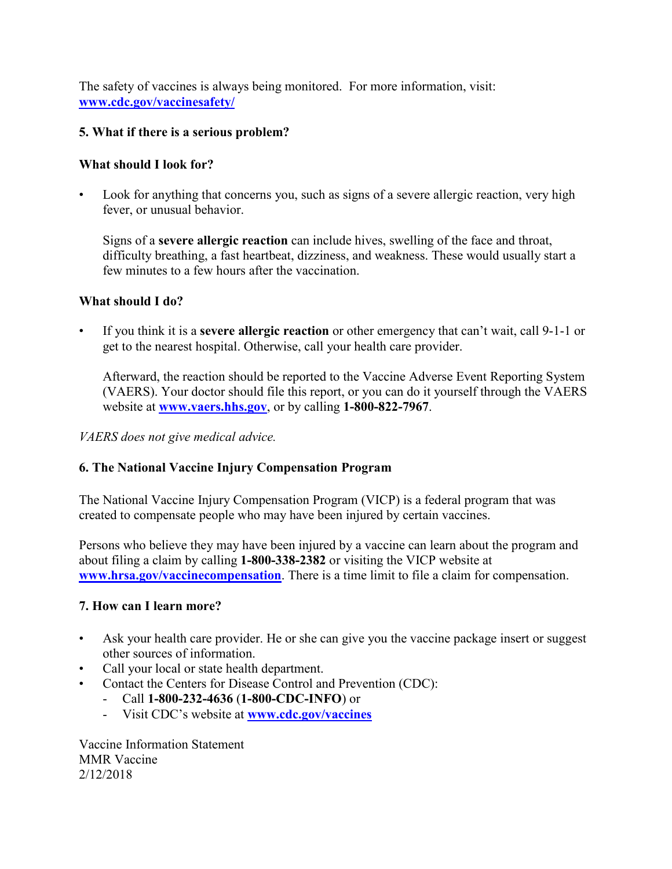The safety of vaccines is always being monitored. For more information, visit: **[www.cdc.gov/vaccinesafety/](http://www.cdc.gov/vaccinesafety/)**

## **5. What if there is a serious problem?**

## **What should I look for?**

Look for anything that concerns you, such as signs of a severe allergic reaction, very high fever, or unusual behavior.

Signs of a **severe allergic reaction** can include hives, swelling of the face and throat, difficulty breathing, a fast heartbeat, dizziness, and weakness. These would usually start a few minutes to a few hours after the vaccination.

## **What should I do?**

• If you think it is a **severe allergic reaction** or other emergency that can't wait, call 9-1-1 or get to the nearest hospital. Otherwise, call your health care provider.

Afterward, the reaction should be reported to the Vaccine Adverse Event Reporting System (VAERS). Your doctor should file this report, or you can do it yourself through the VAERS website at **[www.vaers.hhs.gov](http://www.vaers.hhs.gov/)**, or by calling **1-800-822-7967**.

## *VAERS does not give medical advice.*

# **6. The National Vaccine Injury Compensation Program**

The National Vaccine Injury Compensation Program (VICP) is a federal program that was created to compensate people who may have been injured by certain vaccines.

Persons who believe they may have been injured by a vaccine can learn about the program and about filing a claim by calling **1-800-338-2382** or visiting the VICP website at **[www.hrsa.gov/vaccinecompensation](http://www.hrsa.gov/vaccinecompensation)**. There is a time limit to file a claim for compensation.

## **7. How can I learn more?**

- Ask your health care provider. He or she can give you the vaccine package insert or suggest other sources of information.
- Call your local or state health department.
- Contact the Centers for Disease Control and Prevention (CDC):
	- Call **1-800-232-4636** (**1-800-CDC-INFO**) or
	- Visit CDC's website at **www.cdc.gov/vaccines**

Vaccine Information Statement MMR Vaccine 2/12/2018